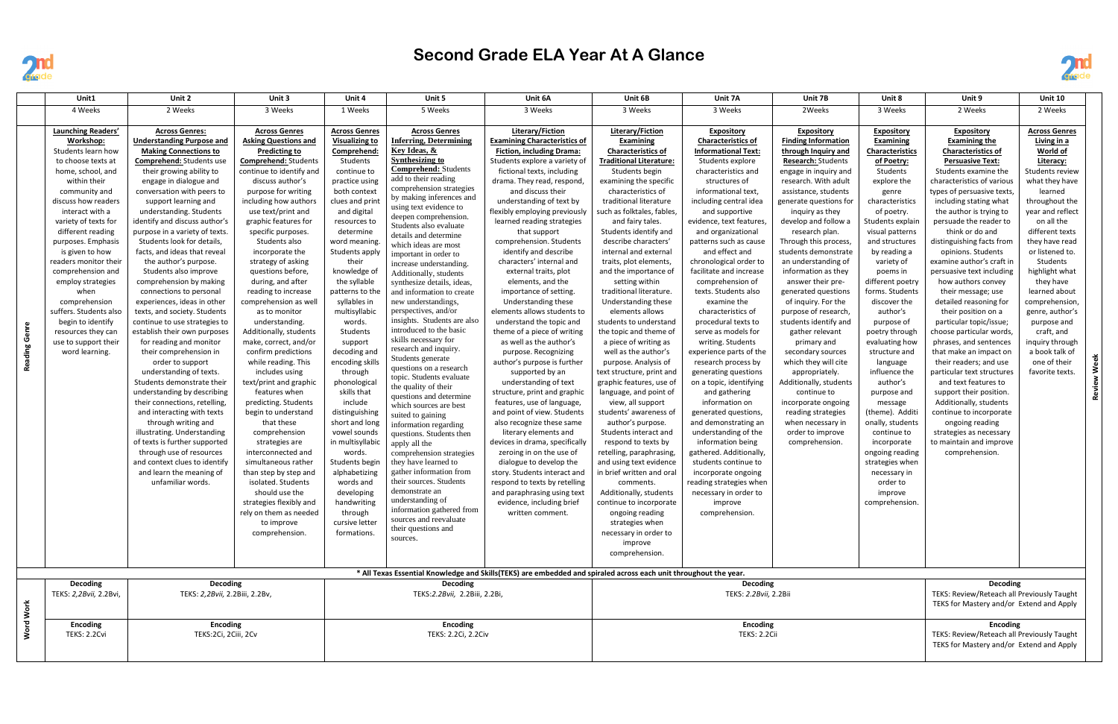

## **Second Grade ELA Year At A Glance**

|               | Unit1                                                                               | Unit 2                                                                                                                                        | Unit 3                                                                                                                          | Unit 4                                                                          | Unit 5                                                                                                                                                | Unit 6A                                                                                                                                                       | Unit 6B                                                                                                                      | Unit 7A                                                                                                              | Unit 7B                                                                                                | Unit 8                                                                                                    | Unit 9                                                                                                                            | <b>Unit 10</b>                                                  |  |
|---------------|-------------------------------------------------------------------------------------|-----------------------------------------------------------------------------------------------------------------------------------------------|---------------------------------------------------------------------------------------------------------------------------------|---------------------------------------------------------------------------------|-------------------------------------------------------------------------------------------------------------------------------------------------------|---------------------------------------------------------------------------------------------------------------------------------------------------------------|------------------------------------------------------------------------------------------------------------------------------|----------------------------------------------------------------------------------------------------------------------|--------------------------------------------------------------------------------------------------------|-----------------------------------------------------------------------------------------------------------|-----------------------------------------------------------------------------------------------------------------------------------|-----------------------------------------------------------------|--|
|               | 4 Weeks                                                                             | 2 Weeks                                                                                                                                       | 3 Weeks                                                                                                                         | 1 Weeks                                                                         | 5 Weeks                                                                                                                                               | 3 Weeks                                                                                                                                                       | 3 Weeks                                                                                                                      | 3 Weeks                                                                                                              | 2Weeks                                                                                                 | 3 Weeks                                                                                                   | 2 Weeks                                                                                                                           | 2 Weeks                                                         |  |
|               | Launching Readers'<br>Workshop:<br>Students learn how<br>to choose texts at         | <b>Across Genres:</b><br><b>Understanding Purpose and</b><br><b>Making Connections to</b><br><b>Comprehend:</b> Students use                  | <b>Across Genres</b><br><b>Asking Questions and</b><br><b>Predicting to</b><br><b>Comprehend: Students</b>                      | <b>Across Genres</b><br><b>Visualizing to</b><br><b>Comprehend:</b><br>Students | <b>Across Genres</b><br><b>Inferring, Determining</b><br>Key Ideas, &<br><b>Synthesizing to</b><br><b>Comprehend:</b> Students                        | Literary/Fiction<br><b>Examining Characteristics of</b><br><b>Fiction, including Drama:</b><br>Students explore a variety of                                  | Literary/Fiction<br><b>Examining</b><br><b>Characteristics of</b><br><b>Traditional Literature:</b>                          | <b>Expository</b><br><b>Characteristics of</b><br><b>Informational Text:</b><br>Students explore                     | <b>Expository</b><br><b>Finding Information</b><br>through Inquiry and<br><b>Research: Students</b>    | <b>Expository</b><br><b>Examining</b><br><b>Characteristics</b><br>of Poetry:                             | <b>Expository</b><br><b>Examining the</b><br><b>Characteristics of</b><br><b>Persuasive Text:</b>                                 | <b>Across Genres</b><br>Living in a<br>World of<br>Literacy:    |  |
|               | home, school, and<br>within their<br>community and<br>discuss how readers           | their growing ability to<br>engage in dialogue and<br>conversation with peers to<br>support learning and                                      | continue to identify and<br>discuss author's<br>purpose for writing<br>including how authors                                    | continue to<br>practice using<br>both context<br>clues and print                | add to their reading<br>comprehension strategies<br>by making inferences and                                                                          | fictional texts, including<br>drama. They read, respond<br>and discuss their<br>understanding of text by                                                      | Students begin<br>examining the specific<br>characteristics of<br>traditional literature                                     | characteristics and<br>structures of<br>informational text.<br>including central idea                                | engage in inquiry and<br>research. With adult<br>assistance, students<br>generate questions for        | Students<br>explore the<br>genre<br>characteristics                                                       | Students examine the<br>characteristics of various<br>types of persuasive texts,<br>including stating what                        | Students review<br>what they have<br>learned<br>throughout the  |  |
|               | interact with a<br>variety of texts for<br>different reading                        | understanding. Students<br>identify and discuss author's<br>purpose in a variety of texts.                                                    | use text/print and<br>graphic features for<br>specific purposes.                                                                | and digital<br>resources to<br>determine                                        | using text evidence to<br>deepen comprehension<br>Students also evaluate<br>details and determine                                                     | flexibly employing previously<br>learned reading strategies<br>that support                                                                                   | such as folktales, fables,<br>and fairy tales.<br>Students identify and                                                      | and supportive<br>evidence, text features,<br>and organizational                                                     | inquiry as they<br>develop and follow a<br>research plan.                                              | of poetry.<br>Students explain<br>visual patterns                                                         | the author is trying to<br>persuade the reader to<br>think or do and                                                              | year and reflect<br>on all the<br>different texts               |  |
|               | purposes. Emphasis<br>is given to how<br>readers monitor their<br>comprehension and | Students look for details,<br>facts, and ideas that reveal<br>the author's purpose.<br>Students also improve                                  | Students also<br>incorporate the<br>strategy of asking<br>questions before,                                                     | word meaning.<br>Students apply<br>their<br>knowledge of                        | which ideas are most<br>important in order to<br>increase understanding.<br>Additionally, students                                                    | comprehension. Students<br>identify and describe<br>characters' internal and<br>external traits, plot                                                         | describe characters'<br>internal and external<br>traits, plot elements,<br>and the importance of                             | patterns such as cause<br>and effect and<br>chronological order to<br>facilitate and increase                        | Through this process,<br>students demonstrate<br>an understanding of<br>information as they            | and structures<br>by reading a<br>variety of<br>poems in                                                  | distinguishing facts from<br>opinions. Students<br>examine author's craft in<br>persuasive text including                         | they have read<br>or listened to.<br>Students<br>highlight what |  |
|               | employ strategies<br>when<br>comprehension<br>suffers. Students also                | comprehension by making<br>connections to personal<br>experiences, ideas in other<br>texts, and society. Students                             | during, and after<br>reading to increase<br>comprehension as well<br>as to monitor                                              | the syllable<br>patterns to the<br>syllables in<br>multisyllabic                | synthesize details, ideas,<br>and information to create<br>new understandings,<br>perspectives, and/or                                                | elements, and the<br>importance of setting.<br>Understanding these<br>elements allows students to                                                             | setting within<br>traditional literature.<br>Understanding these<br>elements allows                                          | comprehension of<br>texts. Students also<br>examine the<br>characteristics of                                        | answer their pre-<br>generated questions<br>of inquiry. For the<br>purpose of research,                | different poetry<br>forms. Students<br>discover the<br>author's                                           | how authors convey<br>their message; use<br>detailed reasoning for<br>their position on a                                         | they have<br>learned about<br>comprehension<br>genre, author's  |  |
| မ္ယြ          | begin to identify<br>resources they can<br>use to support their<br>word learning.   | continue to use strategies to<br>establish their own purposes<br>for reading and monitor<br>their comprehension in                            | understanding.<br>Additionally, students<br>make, correct, and/or                                                               | words.<br>Students<br>support<br>decoding and                                   | insights. Students are also<br>introduced to the basic<br>skills necessary for<br>research and inquiry.                                               | understand the topic and<br>theme of a piece of writing<br>as well as the author's                                                                            | students to understand<br>the topic and theme of<br>a piece of writing as<br>well as the author's                            | procedural texts to<br>serve as models for<br>writing. Students<br>experience parts of the                           | students identify and<br>gather relevant<br>primary and<br>secondary sources                           | purpose of<br>poetry through<br>evaluating how                                                            | particular topic/issue;<br>choose particular words,<br>phrases, and sentences<br>that make an impact on                           | purpose and<br>craft, and<br>inguiry through<br>a book talk of  |  |
| قع<br>ه       |                                                                                     | order to support<br>understanding of texts.<br>Students demonstrate their<br>understanding by describing<br>their connections, retelling,     | confirm predictions<br>while reading. This<br>includes using<br>text/print and graphic<br>features when<br>predicting. Students | encoding skills<br>through<br>phonological<br>skills that<br>include            | Students generate<br>questions on a research<br>topic. Students evaluate<br>the quality of their<br>questions and determine<br>which sources are best | purpose. Recognizing<br>author's purpose is further<br>supported by an<br>understanding of text<br>structure, print and graphic<br>features, use of language, | purpose. Analysis of<br>text structure, print and<br>graphic features, use of<br>language, and point of<br>view, all support | research process by<br>generating questions<br>on a topic, identifying<br>and gathering<br>information on            | which they will cite<br>appropriately.<br>Additionally, students<br>continue to<br>incorporate ongoing | structure and<br>language<br>influence the<br>author's<br>purpose and<br>message                          | their readers; and use<br>particular text structures<br>and text features to<br>support their position.<br>Additionally, students | one of their<br>favorite texts.                                 |  |
|               |                                                                                     | and interacting with texts<br>through writing and<br>illustrating. Understanding<br>of texts is further supported<br>through use of resources | begin to understand<br>that these<br>comprehension<br>strategies are<br>interconnected and                                      | distinguishing<br>short and long<br>vowel sounds<br>in multisyllabic<br>words.  | suited to gaining<br>information regarding<br>questions. Students then<br>apply all the<br>comprehension strategies                                   | and point of view. Students<br>also recognize these same<br>literary elements and<br>devices in drama, specifically<br>zeroing in on the use of               | students' awareness of<br>author's purpose.<br>Students interact and<br>respond to texts by<br>retelling, paraphrasing,      | generated questions,<br>and demonstrating an<br>understanding of the<br>information being<br>gathered. Additionally, | reading strategies<br>when necessary in<br>order to improve<br>comprehension.                          | (theme). Additi<br>onally, students<br>continue to<br>incorporate<br>ongoing reading                      | continue to incorporate<br>ongoing reading<br>strategies as necessary<br>to maintain and improve<br>comprehension.                |                                                                 |  |
|               |                                                                                     | and context clues to identify<br>and learn the meaning of<br>unfamiliar words.                                                                | simultaneous rather<br>than step by step and<br>isolated. Students<br>should use the<br>strategies flexibly and                 | Students begin<br>alphabetizing<br>words and<br>developing<br>handwriting       | they have learned to<br>gather information from<br>their sources. Students<br>demonstrate an<br>understanding of                                      | dialogue to develop the<br>story. Students interact and<br>respond to texts by retelling<br>and paraphrasing using text<br>evidence, including brief          | and using text evidence<br>in brief written and oral<br>comments.<br>Additionally, students<br>continue to incorporate       | students continue to<br>incorporate ongoing<br>reading strategies when<br>necessary in order to<br>improve           |                                                                                                        | strategies when<br>necessary in<br>order to<br>improve<br>comprenension.                                  |                                                                                                                                   |                                                                 |  |
|               |                                                                                     |                                                                                                                                               | rely on them as needed<br>to improve<br>comprehension.                                                                          | through<br>cursive letter<br>formations.                                        | information gathered from<br>sources and reevaluate<br>their questions and<br>sources.                                                                | written comment.                                                                                                                                              | ongoing reading<br>strategies when<br>necessary in order to<br>improve<br>comprehension.                                     | comprehension.                                                                                                       |                                                                                                        |                                                                                                           |                                                                                                                                   |                                                                 |  |
|               |                                                                                     |                                                                                                                                               |                                                                                                                                 |                                                                                 |                                                                                                                                                       | * All Texas Essential Knowledge and Skills(TEKS) are embedded and spiraled across each unit throughout the year.                                              |                                                                                                                              |                                                                                                                      |                                                                                                        |                                                                                                           |                                                                                                                                   |                                                                 |  |
| d Work        | <b>Decoding</b><br>TEKS: 2,2Bvii, 2.2Bvi,                                           | Decoding<br>TEKS: 2,2Bvii, 2.2Biii, 2.2Bv,                                                                                                    |                                                                                                                                 | Decoding<br>TEKS:2.2Bvii, 2.2Biii, 2.2Bi,                                       |                                                                                                                                                       |                                                                                                                                                               | Decoding<br>TEKS: 2.2Bvii, 2.2Bii                                                                                            |                                                                                                                      |                                                                                                        |                                                                                                           | Decoding<br>TEKS: Review/Reteach all Previously Taught<br>TEKS for Mastery and/or Extend and Apply                                |                                                                 |  |
| <b>b</b><br>S | <b>Encoding</b><br>TEKS: 2.2Cvi                                                     | <b>Encoding</b><br>TEKS:2Ci, 2Ciii, 2Cv                                                                                                       |                                                                                                                                 | <b>Encoding</b><br>TEKS: 2.2Ci, 2.2Civ                                          |                                                                                                                                                       |                                                                                                                                                               | <b>Encoding</b><br>TEKS: 2.2Cii                                                                                              |                                                                                                                      |                                                                                                        | <b>Encoding</b><br>TEKS: Review/Reteach all Previously Taught<br>TEKS for Mastery and/or Extend and Apply |                                                                                                                                   |                                                                 |  |